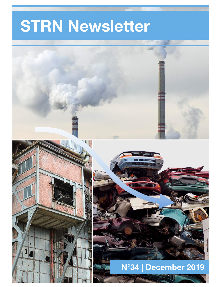# STRN Newsletter







## N°34 | December 2019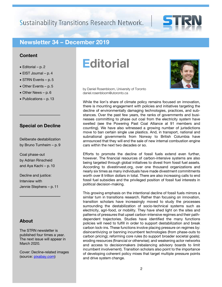

### Newsletter 34 – December 2019

### Content

- Editorial p. 2
- EIST Journal p. 4
- STRN Events p. 5
- Other Events p. 5
- Other News p. 6
- Publications p. 13

### Special on Decline

Deliberate destabilization by Bruno Turnheim – p. 9

Coal phase-out by Adrian Rinscheid and Aya Kachi – p. 10

Decline and justice: Interview with Jennie Stephens – p. 11

### About

The STRN newsletter is published four times a year. The next issue will appear in March 2020.

Cover: Decline-related images (source: pixabay.com)

# **Editorial**



by Daniel Rosenbloom, University of Toronto daniel.rosenbloom@utoronto.ca

While the lion's share of climate policy remains focused on innovation, there is mounting engagement with policies and initiatives targeting the decline of environmentally damaging technologies, practices, and substances. Over the past few years, the ranks of governments and businesses committing to phase out coal from the electricity system have swelled (see the Powering Past Coal Alliance at 91 members and counting). We have also witnessed a growing number of jurisdictions move to ban certain single use plastics. And, in transport, national and subnational governments from Norway to British Columbia have announced that they will end the sale of new internal combustion engine cars within the next two decades or so.

Efforts to promote the decline of fossil fuels extend even further, however. The financial resources of carbon-intensive systems are also being targeted through global initiatives to divest from fossil fuel assets. According to divestinvest.org, over one thousand organizations and nearly six times as many individuals have made divestment commitments worth over 8 trillion dollars in total. There are also increasing calls to end fossil fuel subsidies and the privileged position of fossil fuel interests in political decision-making.

This growing emphasis on the intentional decline of fossil fuels mirrors a similar turn in transitions research. Rather than focusing on innovation, transition scholars have increasingly moved to study the processes surrounding the destabilization of socio-technical systems such as electricity, agri-food, or mobility. They have shed light on the sites and patterns of pressures that upset carbon-intensive regimes and their pathdependent trajectories. Studies have identified the many functions policies will need to fulfill in order to support destabilization and break carbon lock-ins. These functions involve placing pressure on regimes by: disincentivizing or banning incumbent technologies (from phase-outs to carbon pricing); reforming core rules (to support broader societal goals); eroding resources (financial or otherwise); and weakening actor networks and access to decisionmakers (rebalancing advisory boards to limit incumbent involvement). Transition scholars also point to the importance of developing coherent policy mixes that target multiple pressure points and drive system change.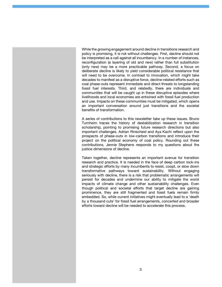While the growing engagement around decline in transitions research and policy is promising, it is not without challenges. First, decline should not be interpreted as a call against all incumbency. In a number of instances, reconfiguration (a layering of old and new) rather than full substitution (only new) may be a more practicable pathway. Second, a focus on deliberate decline is likely to yield considerable political resistance that will need to be overcome. In contrast to innovation, which might take decades to manifest as a disruptive force, decline-related efforts such as coal phase-outs represent immediate and direct threats to longstanding fossil fuel interests. Third, and relatedly, there are individuals and communities that will be caught up in these disruptive episodes where livelihoods and local economies are entwined with fossil fuel production and use. Impacts on these communities must be mitigated, which opens an important conversation around just transitions and the societal benefits of transformation.

A series of contributions to this newsletter take up these issues. Bruno Turnheim traces the history of destabilization research in transition scholarship, pointing to promising future research directions but also important challenges. Adrian Rinscheid and Aya Kachi reflect upon the prospects of phase-outs in low-carbon transitions and introduce their project on the political economy of coal policy. Rounding out these contributions, Jennie Stephens responds to my questions about the justice dimensions of decline.

Taken together, decline represents an important avenue for transition research and practice. It is needed in the face of deep carbon lock-ins and strategic efforts by many incumbents to resist, coopt, or slow down transformative pathways toward sustainability. Without engaging seriously with decline, there is a risk that problematic arrangements will persist for decades and undermine our ability to mitigate the worst impacts of climate change and other sustainability challenges. Even though political and societal efforts that target decline are gaining prominence, they are still fragmented and fossil fuels remain firmly embedded. So, while current initiatives might eventually lead to a 'death by a thousand cuts' for fossil fuel arrangements, concerted and broader efforts toward decline will be needed to accelerate this process.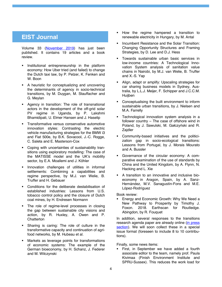## EIST Journal

Volume 33 (November 2019) has just been published. It contains 19 articles and a book review.

- § Institutional entrepreneurship in the platform economy: How Uber tried (and failed) to change the Dutch taxi law, by P. Pelzer, K. Fenken and W. Boon
- A heuristic for conceptualizing and uncovering the determinants of agency in socio-technical transitions, by M. Duygan, M. Stauffacher and G. Meylan
- § Agency in transition: The role of transnational actors in the development of the off-grid solar PV regime in Uganda, by P. Lakshmi Bhamidipati, U. Elmer Hansen and J. Haselip
- § Transformative versus conservative automotive innovation styles: Contrasting the electric vehicle manufacturing strategies for the BMW i3 and Fiat 500e, by B.K. Sovacool, J.-C. Rogge, C. Saleta and E. Masterson-Cox
- § Coping with uncertainties of sustainability transitions using exploratory modelling: The case of the MATISSE model and the UK's mobility sector, by E.A. Moallemi and J. Köhler
- § Innovation challenges of utilities in informal settlements: Combining a capabilities and regime perspective, by M.J. van Welie, B. Truffer and H. Gebauer
- § Conditions for the deliberate destabilisation of established industries: Lessons from U.S. tobacco control policy and the closure of Dutch coal mines, by H. Endresen Normann
- The role of regime-level processes in closing the gap between sustainable city visions and action, by R. Huxley, A. Owen and P. **Chatterton**
- Sharing is caring: The role of culture in the transformative capacity and continuation of agrifood networks, by M. Hubeau et al.
- Markets as leverage points for transformations of economic systems: The example of the German bioeconomy, by H. Schanz, J. Federer and M. Wilczynski
- § How the regime hampered a transition to renewable electricity in Hungary, by M. Antal
- Incumbent Resistance and the Solar Transition: Changing Opportunity Structures and Framing Strategies, by D. Lee and D.J. Hess
- § Towards sustainable urban basic services in low-income countries: A Technological Innovation System analysis of sanitation value chains in Nairobi, by M.J. van Welie, B. Truffer and X.-S. Yap
- Align, adapt or amplify: Upscaling strategies for car sharing business models in Sydney, Australia, by L.L.J. Meijer, F. Schipper and J.C.C.M. Huijben
- Conceptualising the built environment to inform sustainable urban transitions, by J. Nielsen and M.A. Farrelly
- **•** Technological innovation system analysis in a follower country – The case of offshore wind in Poland, by J. Sawulski, M. Gałczyński and R. Zajdler
- § Community-based initiatives and the politicization gap in socio-ecological transitions: Lessons from Portugal, by J. Morais Mourato and A. Bussler
- § Governance of the circular economy: A comparative examination of the use of standards by China and the United Kingdom, by A. Flynn, N. Hacking and L. Xie
- **•** A transition to an innovative and inclusive bioeconomy in Aragon, Spain, by A. Sanz-Hernández, M.V. Sanagustín-Fons and M.E. López-Rodríguez

Book review:

■ Energy and Economic Growth: Why We Need a New Pathway to Prosperity by Timothy J. Foxon. 2018. Earthscan for Routledge. Abingdon, by R. Fouquet

In addition, several responses to the transitions research agenda paper are already online (in press section). We will soon collect these in a special issue format (foreseen to include 8 to 10 contributions).

Finally, some news items:

§ First, in September we have added a fourth associate editor to the team, namely prof. Paula Kivimaa (Finish Environment Institute and SPRU-Sussex). This reduces the work load for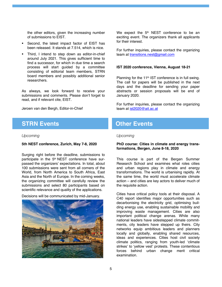the other editors, given the increasing number of submissions to EIST.

- Second, the latest impact factor of EIST has been released. It stands at 7.514, which is nice.
- Third, I intend to step down as editor-in-chief around July 2021. This gives sufficient time to find a successor, for which in due time a search process will start guided by a committee consisting of editorial team members, STRN board members and possibly additional senior researchers.

As always, we look forward to receive your submissions and comments. Please don't forget to read, and if relevant cite, EIST.

Jeroen van den Bergh, Editor-in-Chief

## **STRN Events COLLEGE STRN Events**

### *Upcoming*

### 5th NEST conference, Zurich, May 7-8, 2020

Surging right before the deadline, submissions to participate in the 5<sup>th</sup> NEST conference have surpassed the organizers' expectations. In total, about 100 submissions were sent from all corners of the World, from North America to South Africa, East Asia and the North of Europe. In the coming weeks, the organizing committee will carefully review the submissions and select 80 participants based on scientific relevance and quality of the applications.

Decisions will be communicated by mid-January.



We expect the 5<sup>th</sup> NEST conference to be an exciting event. The organizers thank all applicants for their interest.

For further inquiries, please contact the organizing team at transitions.nest@gmail.com

### IST 2020 conference, Vienna, August 18-21

Planning for the 11<sup>th</sup> IST conference is in full swing. The call for papers will be published in the next days and the deadline for sending your paper abstracts or session proposals will be end of January 2020.

For further inquiries, please contact the organizing team at ist2020@ait.ac.at

### *Upcoming*

PhD course: Cities in climate and energy transformations, Bergen, June 8-18, 2020

This course is part of the Bergen Summer Research School and examines what roles cities and urban regions play in climate and energy transformations. The world is urbanising rapidly. At the same time, the world must accelerate climate action – and cities are key actors to deliver much of the requisite action.

Cities have critical policy tools at their disposal. A C40 report identifies major opportunities such as decarbonising the electricity grid, optimising building energy use, enabling sustainable mobility and improving waste management. Cities are also important political change arenas. While many national leaders have sidestepped climate commitments, city leaders have stepped up theirs. City networks equip ambitious leaders and planners locally and globally, enabling shared resources, ideas and experiences. Cities host civil society climate politics, ranging from youth-led 'climate strikes' to 'yellow vest' protests. These contentious forces behind urban change merit critical examination.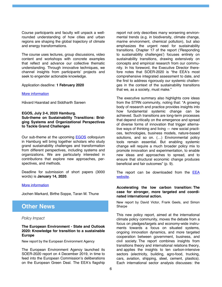Course participants and faculty will unpack a wellrounded understanding of how cities and urban regions are shaping the global trajectory of climate and energy transformations.

The course uses lectures, group discussions, video content and workshops with concrete examples that reflect and advance our collective thematic understanding. Through innovative techniques, we channel insights from participants' projects and seek to engender actionable knowledge.

Application deadline: 1 February 2020

### More information

Håvard Haarstad and Siddharth Sareen

EGOS, July 2-4, 2020 Hamburg. Sub-theme on Sustainability Transitions: Bridging Systems and Organizational Perspectives to Tackle Grand Challenges

Our sub-theme at the upcoming **EGOS** colloquium in Hamburg will bring together scholars who study grand sustainability challenges and transformation from different perspectives, including systems and organizations. We are particularly interested in contributions that explore new approaches, perspectives, and methods.

Deadline for submission of short papers (3000 words) is January 14, 2020.

### More information

Jochen Markard, Birthe Soppe, Taran M. Thune

### Other News

### *Policy Impact*

### The European Environment - State and Outlook 2020: Knowledge for transition to a sustainable Europe

New report by the European Environment Agency

The European Environment Agency launched its SOER-2020 report on 4 December 2019, in time to feed into the European Commission's deliberations on the European Green Deal. The EEA's flagship report not only describes many worsening environmental trends (e.g. in biodiversity, climate change, marine environment, chemical pollution), but also emphasizes the urgent need for sustainability transitions. Chapter 17 of the report ('Responding to sustainability challenges') focuses entirely on sustainability transitions, drawing extensively on concepts and empirical research from our community. In his foreword, the Executive Director therefore notes that SOER-2020 is "the EEA's most comprehensive integrated assessment to date, and the first to address rigorously our systemic challenges in the context of the sustainability transitions that we, as a society, must make."

The executive summary also highlights core ideas from the STRN community, noting that: "A growing body of research and practice provides insights into how fundamental systemic change can be achieved. Such transitions are long-term processes that depend critically on the emergence and spread of diverse forms of innovation that trigger alternative ways of thinking and living — new social practices, technologies, business models, nature-based solutions, and so on. (…) Environmental policy tools remain essential. But enabling systemic change will require a much broader policy mix to promote innovation and experimentation, to enable new ideas and approaches to spread, and to ensure that structural economic change produces beneficial and fair outcomes" (p. 9).

The report can be downloaded from the **EEA** website.

### Accelerating the low carbon transition: The case for stronger, more targeted and coordinated international action.

New report by David Victor, Frank Geels, and Simon Sharpe

This new policy report, aimed at the international climate policy community, moves the debate from a focus on pledges/targets and economy-wide instruments towards a focus on situated systems, ongoing innovation dynamics, and more targeted cooperation between government, business, and civil society. The report combines insights from transitions theory and international relations theory, and applies the insights to ten carbon-intensive sectors (electricity, building, agro-food, trucking, cars, aviation, shipping, steel, cement, plastics). Each international sector analysis discusses: the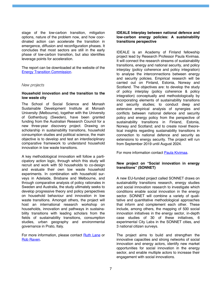stage of the low-carbon transition, mitigation options, nature of the problem now, and how coordinated action can accelerate the transition in emergence, diffusion and reconfiguration phases. It concludes that most sectors are still in the early phase of low-carbon transition, but also identifies leverage points for acceleration.

The report can be downloaded at the website of the Energy Transition Commission.

### *New projects*

### Household innovation and the transition to the low waste city

The School of Social Science and Monash Sustainable Development Institute at Monash University (Melbourne), together with the University of Gothenburg (Sweden), have been granted funding from the Australian Research Council for a new three-year discovery project. Drawing on scholarship in sustainability transitions, household consumption studies and political science, the main objective is to develop and test an interdisciplinary comparative framework to understand household innovation in low waste transitions.

A key methodological innovation will follow a participatory action logic, through which this study will recruit and work with 50 households to co-design and evaluate their own low waste household experiments. In combination with household surveys in Adelaide, Brisbane and Melbourne, and through comparative analysis of policy rationales in Sweden and Australia, the study ultimately seeks to develop progressive theory and policy perspectives on household behaviour and innovation in low waste transitions. Amongst others, the project will host an international research workshop on households, innovation and pathways in sustainability transitions with leading scholars from the fields of sustainability transitions, consumption studies, urban geography and environmental governance in Prato, Italy.

For more information, please contact **Ruth Lane** or Rob Raven.

### IDEALE Interplay between national defence and low-carbon energy policies: A sustainability transitions perspective

IDEALE is an Academy of Finland fellowship project lead by Research Professor Paula Kivimaa. It will connect the research streams of sustainability transitions, energy and national security, and policy interplay (policy coherence and policy integration) to analyse the interconnections between energy and security policies. Empirical research will be carried out on Finland, Estonia, Norway and Scotland. The objectives are: to develop the study of policy interplay (policy coherence & policy integration) conceptually and methodologically by incorporating elements of sustainability transitions and security studies; to conduct deep and extensive empirical analysis of synergies and conflicts between national defence and security policy and energy policy from the perspective of sustainability transitions in Finland, Estonia, Norway and Scotland; and to create novel theoretical insights regarding sustainability transitions in connection to national defence and security as extensions to energy security. The project will run from September 2019 until August 2024.

For more information contact Paula Kivimaa.

### New project on "Social innovation in energy transitions" (SONNET)

A new EU-funded project called SONNET draws on sustainability transitions research, energy studies and social innovation research to investigate which conditions enable social innovation in the energy sector. SONNET will combine a variety of qualitative and quantitative methodological approaches that inform and complement each other. These include, among others, the mapping of 500 social innovation initiatives in the energy sector, in-depth case studies of 30 of these initiatives, 6 experimental City Labs in the SONNET cities, and 3 national citizen surveys.

The project aims to build and strengthen the innovative capacities and strong networks of social innovation and energy actors, identify new market opportunities for social innovation in the energy sector, and enable multiple actors to increase their engagement with social innovations.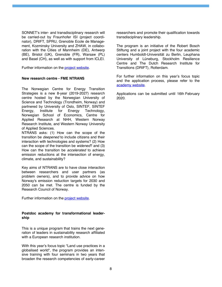SONNET's inter- and transdisciplinary research will be carried-out by Fraunhofer ISI (project coordinator), DRIFT, SPRU, Grenoble Ecole de Management, Kozminsky University and ZHAW, in collaboration with the Cities of Mannheim (DE), Antwerp (BE), Bristol (UK), Grenoble (FR), Warsaw (PL) and Basel (CH), as well as with support from ICLEI.

Further information on the project website.

### New research centre - FME NTRANS

The Norwegian Centre for Energy Transition Strategies is a new 8-year (2019-2027) research centre hosted by the Norwegian University of Science and Technology (Trondheim, Norway) and partnered by University of Oslo, SINTEF, SINTEF Energy, Institute for Energy Technology, Norwegian School of Economics, Centre for Applied Research at NHH, Western Norway Research Institute, and Western Norway University of Applied Sciences.

NTRANS asks: (1) How can the scope of the transition be *deepened* to include citizens and their interaction with technologies and systems? (2) How can the scope of the transition be *widened*? and (3) How can the transition be *accelerated* to achieve emission reductions at the intersection of energy, climate, and sustainability?

Key aims of NTRANS are to have close interaction between researchers and user partners (as problem owners), and to provide advice on how Norway's emission reduction targets for 2030 and 2050 can be met. The centre is funded by the Research Council of Norway.

Further information on the **project website**.

### Postdoc academy for transformational leadership

This is a unique program that trains the next generation of leaders in sustainability research affiliated with a European research institution.

With this year's focus topic "Land use practices in a globalised world", the program provides an intensive training with four seminars in two years that broaden the research competencies of early-career researchers and promote their qualification towards transdisciplinary leadership.

The program is an initiative of the Robert Bosch Stiftung and a joint project with the four academic centers Humboldt-Universität zu Berlin, Leuphana University of Lüneburg, Stockholm Resilience Centre and The Dutch Research Institute for Transitions (DRIFT), Rotterdam.

For further information on this year's focus topic and the application process, please refer to the academy website.

Applications can be submitted until 16th February 2020.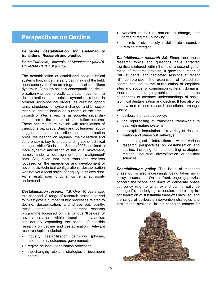### Perspectives on Decline

### Deliberate destabilisation for sustainability transitions: Research and practice

*Bruno Turnheim, University of Manchester (MIoIR), Université Paris-Est (LISIS)*

The destabilisation of established socio-technical systems has, since the early beginnings of the field, been conceived of as an integral part of transitions dynamics. Although scantily conceptualised, destabilisation was seen broadly as a dual movement: a) destabilisation and crisis dynamics (often in broader socio-political orders) as creating opportunity structures for system change, and b) sociotechnical destabilisation as outcome of the breakthrough of alternatives, i.e. as socio-technical discontinuities in the context of substitution patterns. These became more explicit with formulations of transitions pathways: Smith and colleagues (2005) suggested that the articulation of selection pressures bearing on regimes (their direction and coherence) is key to understanding socio-technical change, while Geels and Schot (2007) outlined a more dynamic articulation of this dual movement, namely under a 'de-alignment and re-alignment' path. Still, given that most transitions research focussed on the emergence and development of novel socio-technical configurations, destabilisation was not yet a focal object of enquiry in its own right. As a result, specific dynamics remained poorly understood.

*Destabilisation research 1.0*. Over 10 years ago, this changed. A range of research projects started to investigate a number of key processes related to decline, destabilisation, and phase out. Jointly, these contributed to an emergent research programme focussed on the various 'flipsides' of novelty creation within transitions dynamics, considerably expanding the scope of possible research on decline and destabilisation. Relevant research topics included:

- industry destabilisation pathways (phases, mechanisms, outcomes, governance);
- regime de-institutionalisation processes;
- the changing role and strategies of incumbent actors;
- varieties of lock-in, barriers to change, and forms of regime un-locking;
- the role of civil society in deliberate discursive framing strategies.

*Destabilisation research 2.0*. Since then, these research topics and questions have attracted significant interest within the field, a second generation of research projects, a growing number of PhD students, and dedicated sessions at recent IST conferences. The expansion of related research has led to the multiplication of empirical sites and scope for comparison (different domains, kinds of industries, geographical contexts, patterns of change) to advance understandings of sociotechnical destabilisation and decline. It has also led to new and refined research questions, amongst which:

- deliberate phase-out policy;
- the repurposing of transitions frameworks to deal with mature systems;
- the explicit formulation of a variety of destabilisation and phase out pathways;
- methodological interactions with various research perspectives on destabilisation and decline, including formal modelling strategies, regional industrial diversification or political sciences.

*Destabilisation policy*. The issue of managed phase out is also increasingly being taken up in policy discussions. On this front, ongoing puzzles concern the scope and limits of deliberate phase out policy (e.g. to what extend can it really be managed?), underlying rationales, more explicit consideration of substantial trade-offs involved, and the range of deliberate intervention strategies and instruments available. In this changing context for

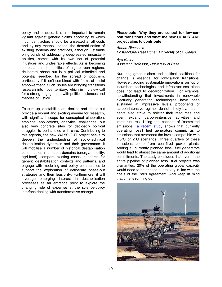policy and practice, it is also important to remain vigilant against generic claims according to which incumbent actors should be unseated at all costs and by any means. Indeed, the destabilisation of existing systems and practices, although justifiable on grounds of addressing deep-seated unsustainabilities, comes with its own set of potential injustices and undesirable effects. As is becoming so blatant in the politics of high-carbon regions, deliberate phase out is a political minefield and potential seedbed for the spread of populism, particularly if it isn't combined with forms of social empowerment. Such issues are bringing transitions research into novel territory, which in my view call for a strong engagement with political sciences and theories of justice.

To sum up, destabilisation, decline and phase out provide a vibrant and exciting avenue for research, with significant scope for conceptual elaboration, empirical applications, analytical challenges, but also very concrete sites for decidedly political struggles to be handled with care. Contributing to this agenda, the new WAYS-OUT project seeks to deepen the understanding of socio-technical destabilisation dynamics and their governance. It will mobilise a number of historical destabilisation case studies in different domains (energy, mobility, agri-food), compare existing cases in search for generic destabilisation contexts and patterns, and engage with modelling and policy communities to support the exploration of deliberate phase-out strategies and their feasibility. Furthermore, it will leverage emerging interest in destabilisation processes as an entrance point to explore the changing role of expertise at the science-policy interface dealing with transformative change.

### Phase-outs: Why they are central for low-carbon transitions and what the new COALSTAKE project aims to contribute

*Adrian Rinscheid Postdoctoral Researcher, University of St. Gallen*

*Aya Kachi Assistant Professor, University of Basel*

Nurturing green niches and political coalitions for change is essential for low-carbon transitions. However, adding sustainable innovations on top of incumbent technologies and infrastructures alone does not lead to decarbonization. For example, notwithstanding that investments in renewable electricity generating technologies have been sustained at impressive levels, proponents of carbon-intensive regimes do not sit idly by. Incumbents also strive to bolster their resources and even expand carbon-intensive activities and infrastructures. Using the concept of 'committed emissions', a recent study shows that currently operating fossil fuel generators commit us to emissions that overshoot the levels compatible with 1.5°C or 2°C scenarios. Three quarters of these emissions come from coal-fired power plants. Adding all currently planned fossil fuel generators would lead to almost the same amount of additional commitments. The study concludes that even if the entire pipeline of planned fossil fuel projects was dismantled, 20% of the operating global capacity would need to be phased out to stay in line with the goals of the Paris Agreement. And keep in mind that time is running out.

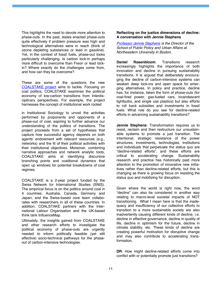This highlights the need to devote more attention to phase-outs. In the past, states enacted phase-outs quite effectively if problem pressure was high and technological alternatives were in reach (think of ozone depleting substances or lead in gasoline). Yet, in the context of fossil fuels, phase-out looks particularly challenging. Is carbon lock-in perhaps more difficult to overcome than Freon or lead lockin? Where exactly do the challenges come from, and how can they be overcome?

These are some of the questions the new COALSTAKE project aims to tackle. Focusing on coal politics, COALSTAKE examines the political economy of low-carbon transitions from interdisciplinary perspectives. For example, the project harnesses the concept of institutional work rooted

in Institutional Sociology to unveil the activities performed by proponents and opponents of a phase-out of coal, aspiring to further advance our understanding of the politics of transitions. The project proceeds from a set of hypotheses that capture how successful agency depends on both agents' endowment with relevant resources (e.g., networks) and the fit of their political activities with their institutional objectives. Moreover, combining narrative approaches and network analytic tools, COALSTAKE aims at identifying discursive branching points and coalitional dynamics that open up windows for potential breakdowns of coal regimes.

COALSTAKE is a 2-year project funded by the Swiss Network for International Studies (SNIS). The empirical focus is on the politics around coal in 4 countries: Australia, Canada, Germany and Japan, and the Swiss-based core team collaborates with researchers in all of these countries. In addition, COALSTAKE partners with the International Labour Organisation and the UK-based think tank InfluenceMap.

Ultimately, the insights gained from COALSTAKE and other research efforts to investigate the political economy of phase-outs are urgently needed to inform politically feasible (yet still effective) socio-technical pathways for the phaseout of carbon-intensive technologies.

### Reflecting on the justice dimensions of decline: A conversation with Jennie Stephens

*Professor Jennie Stephens is the Director of the School of Public Policy and Urban Affairs at Northeastern University in Boston.*

Daniel Rosenbloom: Transitions research increasingly highlights the importance of both innovation and decline in pursuing sustainability transitions. It is argued that deliberately encouraging the decline of carbon-intensive systems can weaken deep lock-ins and open space for emerging alternatives. In policy and practice, decline has, for instance, taken the form of phase-outs (for coal-fired power, gas-fueled cars, incandescent lightbulbs, and single use plastics) but also efforts to roll back subsidies and investments in fossil fuels. What role do you see for decline-related efforts in advancing sustainability transitions?

Jennie Stephens: Transformation requires us to resist, reclaim and then restructure our unsustainable systems to promote a just transition. The intentional, strategic resistance of the power structures, investments, technologies, institutions and individuals that perpetuate the status quo are "decline-related efforts", and these efforts are critical to accelerating change. Sustainability research and practice has historically paid more attention to the promotion of innovative new initiatives rather than decline-related efforts, but this is changing as there is growing focus on resisting the status quo and mobilizing for disruption.

Given where the world is right now, the word "decline" can also be considered in another way relating to macro-level societal impacts of NOT transitioning. What I mean here is that the inadequacy and insufficiency of our collective efforts to transition to a more sustainable society are also inadvertently causing different kinds of decline, i.e. decline in effective governance, decline in quality of life, decline in optimism for the future, decline in climate stability, etc. These kinds of decline are creating powerful motivation for disruptive change and may also contribute to accelerating transformation.

DR: How might decline-related efforts come into conflict with or potentially promote just transitions?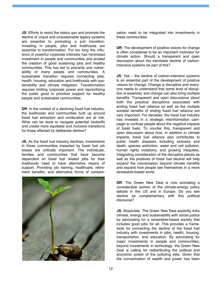JS: Efforts to resist the status quo and promote the decline of unjust and unsustainable legacy systems are essential to promoting a just transition. Investing in people, jobs and livelihoods are essential to transformation. For too long the influence of powerful corporate interests has minimized investment in people and communities and eroded the creation of good sustaining jobs and healthy communities. This has led to precarity and vulnerability of many people and communities. A sustainable transition requires connecting jobs, health, housing, education and livelihoods with sustainability and climate mitigation. Transformation requires limiting corporate power and reprioritizing the public good to prioritize support for healthy people and sustainable communities.

**DR:** In the context of a declining fossil fuel industry, the livelihoods and communities built up around fossil fuel extraction and combustion are at risk. What can be done to navigate potential tradeoffs and create more equitable and inclusive transitions for those affected by deliberate decline?

JS: As the fossil fuel industry declines, investments in those communities impacted by fossil fuel job losses are critically important. The individuals, families and communities that have become dependent on fossil fuel related jobs for their livelihoods need to have alternative means of support. Providing job training, healthcare, retirement benefits, and alternative forms of compen-



sation need to be integrated into investments in these communities.

**DR**: The development of positive visions for change is often considered to be an important motivator for climate action. Should a transparent and open discussion about the inevitable decline of carbonintensive systems be part of this?

JS: Yes – the decline of carbon-intensive systems is an essential part of the development of positive visions for change. Change is disruptive and everyone needs to understand that some level of disruption is essential, and change can also bring multiple benefits. Transparent and open discussions about both the practical disruptions associated with ending fossil fuel reliance as well as the multiple societal benefits of ending fossil fuel reliance are very important. For decades, the fossil fuel industry has invested in a strategic misinformation campaign to confuse people about the negative impacts of fossil fuels. To counter this, transparent and open discussion about how, in addition to climate impacts, fossil fuel reliance also contributes to public health disasters including sickness and death, species extinction, water and soil pollution, human rights violations, and growing inequities. Integrating consideration of the disruptive pieces as well as the positives of fossil fuel decline will help expand the conversation beyond climate benefits and expand how people see themselves in a more renewable-based world.

DR: The Green New Deal is now animating a considerable portion of the climate-energy policy debate in the US and in Europe. Do you see decline as complementary with this political discourse?

JS: Absolutely. The Green New Deal explicitly links climate, energy and sustainability with social justice by advocating for a renewable-based society that includes good jobs for all. This provides a framework for connecting the decline of the fossil fuel industry with investments in jobs, health, housing, transportation, and education. By advocating for major investments in people and communities, beyond investments in technology, the Green New Deal is calling for redistributing the political and economic power of the polluting elite. Given that the concentration of wealth and power has been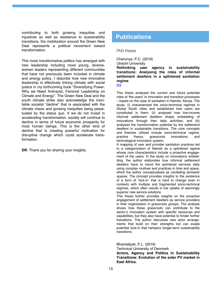contributing to both growing inequities and injustices as well as resistance to sustainability **Publications** transitions, the mobilization around the Green New Deal represents a political movement toward transformation.

This more transformative politics has emerged with new leadership including more young, diverse, women leaders representing different communities that have not previously been included in climate and energy policy. I describe how new innovative leadership is effectively linking climate with social justice in my forthcoming book "Diversifying Power: Why we Need Antiracist, Feminist Leadership on Climate and Energy". The Green New Deal and the youth climate strike also acknowledge the inevitable societal "decline" that is associated with the climate chaos and growing inequities being perpetuated by the status quo. If we do not invest in accelerating transformation, society will continue to decline in terms of future economic prosperity for most human beings. This is the other kind of decline that is creating powerful motivation for disruptive change which could accelerate transformation.

**DR:** Thank you for sharing your insights.

### *PhD theses*

Cherunya, P.C. (2019)

Utrecht University Rethinking user agency in sustainability transitions: Analysing the roles of informal settlement dwellers in a splintered sanitation regime link

This thesis analysed the current and future potential roles of 'the users' in innovation and transition processes – based on the case of sanitation in Nairobi, Kenya. The study: (i) characterized the socio-technical regimes in Global South cities and established how users are constituted in them; (ii) analysed how low-income informal settlement dwellers shape embedding of innovations through their daily activities; and (iii) analysed the transformation potential by the settlement dwellers in sustainable transitions. The core concepts and theories utilized include socio-technical regime, practice theory, grassroots innovations, and technological innovation system.

A mapping of user and provider sanitation practices led to a categorization of Nairobi as a *splintered regime* whose core characteristics include a proactive engagement of the users. In the study on innovations embedding, the author elaborates how informal settlement dwellers have to mend the splintered services daily using complex routines and practices in time and space, which the author conceptualizes as *oscillating domestic spaces*. The concept provides insights to the existence of a form of 'lock-in' that is hard to change even in contexts with multiple and fragmented socio-technical regimes, which often results in low uptake of seemingly superior new service solutions.

This thesis further provides insights on the proactive engagement of settlement dwellers as service providers in their organization in grassroots groups. The analysis shows how these grassroots can contribute to the sector's innovation system with specific resources and capabilities, but they also have potential to hinder further transitions. The author discusses new actor arrangements that build on their strengths but can evade potential lock-in that hampers longer-term sustainability transitions.

Bhamidipati, P.L. (2019)

Technical University of Denmark

Actors, Agency and Politics in Sustainability Transitions: Evolution of the solar PV market in East Africa.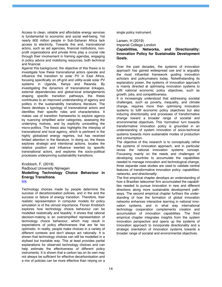Access to clean, reliable and affordable energy services is fundamental to economic and social well-being. Yet nearly 600 million people in Sub-Saharan Africa lack access to electricity. Towards this end, transnational actors, such as aid agencies, financial institutions, nonprofit organizations and private firms play a crucial role through their involvement in framing agendas, engaging in policy advice and mobilizing resources, both technical and financial.

Against this background, the objective of this thesis is to investigate how these transnational actors operate and influence the transition to solar PV in East Africa, focusing specifically on off-grid and utility-scale solar PV systems in Uganda, Kenya and Rwanda. By investigating the dynamics of transnational linkages, external dependencies and global-local entanglements shaping specific transition pathways, the thesis contributes to an improved understanding of agency and politics in the sustainability transitions literature. The thesis develops a typology of transnational actors and identifies their specific roles and characteristics. It makes use of transition frameworks to explore agency by nuancing simplified actor categories, assessing the underlying motives, and by explicitly unravelling the micro-politics. The thesis also highlights the interplay of transnational and local agency, which is pertinent in the highly globalized energy regimes, but has received limited attention in the literature. In doing so, the thesis explores strategic and intentional actions, locates the relative position and influence exerted by specific transnational actors, and explores the socio-political processes underpinning sustainability transitions.

Knobloch, F. (2019) Radboud University Nijmegen Modelling Technology Choice Behaviour in Energy Transitions link

Technology choices made by people determine the success of decarbonisation policies, and in the end the success or failure of energy transition. Therefore, their realistic representation in computer models for policy simulation is of the utmost importance. Florian Knobloch explores how technology choice behaviour can be modelled realistically and feasibly. It shows that rational decision-making is an oversimplified representation of technology choice behaviour, which may result in expectations of policy effectiveness that are far too optimistic. In reality, people make choices in a variety of different contexts and don't always act rationally. It is shown that technology choices can still be modelled in a stylised but tractable way. This at least provides partial explanations for observed technology choices and can help estimate the effectiveness of different policy instruments. It is shown that a carbon tax on its own may not always be sufficient for effective decarbonisation and a mix of policies can be more effective than relying on a single policy instrument.

Larsen, H (2019)

Imperial College London

### Capabilities, Networks, and Directionality: Innovation Policy for Sustainable Development Goals.

Over the past decades, the systems of innovation approach has gained widespread use and is arguably the most influential framework guiding innovation scholars and policymakers today. Notwithstanding its explanatory power, the systems of innovation approach is mainly directed at optimising innovation systems to fulfil national economic policy objectives, such as growth, jobs, and competitiveness.

It is increasingly understood that addressing societal challenges, such as poverty, inequality, and climate change, requires more than optimising innovation systems to fulfil economic policy objectives but also inducing directionality and processes of transformative change toward a broader range of societal and environmental objectives. This 'normative' turn towards transformative innovation policy is grounded in an understanding of system innovation of socio-technical systems towards more sustainable modes of production and consumption.

The objective of this research is to conceptually refine the systems of innovation approach, and in particular revise the national innovation systems concept. Focussing mainly on the needs and challenges of developing countries to accumulate the capabilities needed to manage innovation and technological change, three separate case studies are used to validate central features of transformative innovation policy: *capabilities, networks, and directionality*.

The first empirical chapter develops an understanding of how a Brazilian latecomer firm accumulated the capabilities needed to pursue innovation in new and different directions along more sustainable development pathways. The second empirical chapter furthers the understanding of how the formation of global innovation networks enhances interactive learning in national innovation systems, and in what way international technology cooperation complements creation and accumulation of innovation capabilities. The third empirical chapter integrates insights from the system innovation perspective and opens up the systems of innovation approach to incorporate directionality and a strategic orientation of innovation systems towards a broader range of societal and environmental objectives.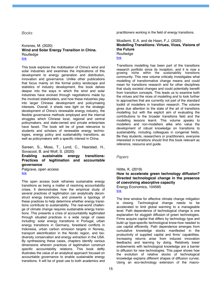### *Books*

Korsnes, M. (2020) Wind and Solar Energy Transition in China. **Routledge** link

This book explores the mobilisation of China's wind and solar industries and examines the implications of this development to energy generation and distribution, innovation and governance. Unlike other publications that focus mainly on the formal policy landscape and statistics of industry development, this book delves deeper into the ways in which the wind and solar industries have evolved through negotiations made by the involved stakeholders, and how these industries play into larger Chinese development and policymaking interests. Overall, it sheds new light on the strategic development of China's renewable energy industry, the flexible governance methods employed and the internal struggles which Chinese local, regional and central policymakers, and state-owned and private enterprises have faced. The book will be of great relevance to students and scholars of renewable energy technologies, energy policy and sustainability transitions, as well as policymakers with a specific interest in China.

Sareen, S., Moss, T., Lund, C., Haarstad, H., Sovacool, B. and Wolf, S. (2020)

Enabling sustainable energy transitions: Practices of legitimation and accountable governance

Palgrave, open access link

This open access book reframes sustainable energy transitions as being a matter of resolving accountability crises. It demonstrates how the empirical study of several practices of legitimation can analytically deconstruct energy transitions, and presents a typology of these practices to help determine whether energy transitions contribute to sustainability. The real-world challenge of climate change requires sustainable energy transitions. This presents a crisis of accountability legitimated through situated practices in a wide range of cases including: solar energy transitions in Portugal, urban energy transitions in Germany, forestland conflicts in Indonesia, urban carbon emission targets in Norway, transport electrification in the Nordic region, and biodiversity conservation and energy extraction in the USA. By synthesising these cases, chapters identify various dimensions wherein practices of legitimation construct specific accountability relations. This book deftly illustrates the value of an analytical approach focused on accountable governance to enable sustainable energy transitions. It will be of great use to both academics and practitioners working in the field of energy transitions.

Moallemi. E.A. and de Haan, F.J. (2020) Modelling Transitions: Virtues, Vices, Visions of the Future **Routledge** link

Transitions modelling has been part of the transitions research portfolio since its inception, and it is now a growing niche within the sustainability transitions community. This new volume critically investigates what modelling of transformative change means and could mean for transitions research and for other disciplines that study societal changes and could potentially benefit from transition concepts. This leads us to examine both the virtues and the vices of modelling and to look further to approaches that are currently not part of the standard toolkit of modellers in transition research. The volume gives due attention to the state of the art of transitions modelling but with the explicit aim of evaluating the contributions to the broader transitions field and the modelling lessons learnt. This volume speaks to modellers and non-modellers alike who value the development of robust knowledge on transitions to sustainability, including colleagues in congenial fields. Be they students, researchers or practitioners, everyone interested in transitions should find this book relevant as reference, resource and guide.

*Papers*

Hötte, K. (2019) How to accelerate green technology diffusion? Directed technological change in the presence of coevolving absorptive capacity Energy Economics, 104565 link

The time window for effective climate change mitigation is closing. Technological change needs to be accelerated to limit global warming to a manageable level. Path dependence of technological change is one explanation for sluggish diffusion of green technologies. Firms acquire capital that differs by technology type and build up type-specific technological know-how needed to use capital efficiently. Path dependence emerges from cumulative knowledge stocks manifested in the productivity of supplied capital and firms' capabilities. Increasing returns arise from induced innovation feedbacks and learning by doing. Relatively lower endowments with technological knowledge are a barrier to diffusion for new technologies. This paper shows how the evolution of relative stocks of technological knowledge explains different shapes of diffusion curves. Using an eco-technology extension of the macro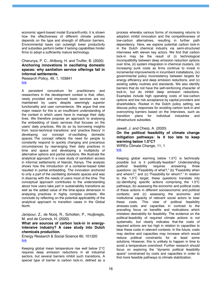economic agent-based model Eurace@unibi, it is shown how the effectiveness of different climate policies depends on the type and strength of diffusion barriers. Environmental taxes can outweigh lower productivity and subsidies perform better if lacking capabilities hinder firms to adopt a sufficiently mature technology.

### Cherunya, P. C., Ahlborg, H. and Truffer, B. (2020) Anchoring innovations in oscillating domestic spaces: why sanitation service offerings fail in informal settlements.

Research Policy, 49, 1, 103841 link

A persistent conundrum for practitioners and researchers in the development context is that, often, newly provided and improved basic services are not maintained by users despite seemingly superior functionality and user convenience. We argue that one major reason for this is an insufficient understanding of the context in which users have to manage their daily lives. We therefore propose an approach to analysing the embedding of basic services that focuses on the users' daily practices. We do so by borrowing insights from 'socio-technical transitions' and 'practice theory' in developing our concept of oscillating domestic spaces. The concept reflects the need for people to constantly respond to quickly changing and precarious circumstances by rearranging their daily practices in time and space and developing a multiplicity of alternative options and partial solutions. We illustrate the analytical approach in a case study of sanitation access in informal settlements of Nairobi, Kenya. The analysis shows how the introduction of a container-based toilet resulted in partial embedding. The innovation anchored to only a part of the oscillating domestic spaces and was in disarray with the needs of users most of the time. The conceptual approach contributes to the understanding about how users take part in sustainability transitions as well as the added value of the time-space dimension in analysing practices in highly complex contexts. We conclude by reflecting on the potential applicability of the analytical approach to transition cases in the Global North.

Janipour, Z., de Nooij, R., Scholten, P., Huijbregts, M. and de Coninck, H. (2020)

What are sources of carbon lock-in in energyintensive industry? A case study into Dutch chemicals production.

Energy Research & Social Science 60, 101320 link

Keeping global mean temperature rise well below 2°C requires deep emission reductions in all industrial sectors, but several barriers inhibit such transitions. A special type of barrier is carbon lock-in, defined as a process whereby various forms of increasing returns to adoption inhibit innovation and the competitiveness of low-carbon alternatives, resulting in further path dependency. Here, we explore potential carbon lock-in in the Dutch chemical industry via semi-structured interviews with eleven key actors. We find that carbon lock-in may be the result of (i) technological incompatibility between deep emission reduction options over time, (ii) system integration in chemical clusters, (iii) increasing sunk costs as firms continue to invest in incremental improvements in incumbent installations, (iv) governmental policy inconsistency between targets for energy efficiency and deep emission reductions, and (v) existing safety routines and standards. We also identify barriers that do not have the self-reinforcing character of lock-in, but do inhibit deep emission reductions. Examples include high operating costs of low-carbon options and low risk acceptance by capital providers and shareholders. Rooted in the Dutch policy setting, we discuss policy responses for avoiding carbon lock-in and overcoming barriers based on the interviews, such as transition plans for individual industries and infrastructure subsidies.

#### Jewell, J. and Cherp, A. (2020)

On the political feasibility of climate change mitigation pathways: Is it too late to keep warming below 1.5°C? WIREs Climate Change, 11, 1 link

Keeping global warming below 1.5°C is technically possible but is it politically feasible? Understanding political feasibility requires answering three questions: (a) "Feasibility of what?," (b) "Feasibility when and where?," and (c) "Feasibility for whom?." In relation to the 1.5°C target, these questions translate into (a) identifying specific actions comprising the 1.5°C pathways; (b) assessing the economic and political costs of these actions in different socioeconomic and political contexts; and (c) assessing the economic and institutional capacity of relevant social actors to bear these costs. This view of political feasibility stresses costs and capacities in contrast to the prevailing focus on benefits and motivations which mistakes desirability for feasibility. The evidence on the political feasibility of required climate actions is not systematic, but clearly indicates that the costs of required actions are too high in relation to capacities to bear these costs in relevant contexts. In the future, costs may decline and capacities may increase which would reduce political constraints for at least some solutions. However, this is unlikely to happen in time to avoid a temperature overshoot. Further research should focus on exploring the "dynamic political feasibility space" constrained by costs and capacities in order to find more feasible pathways to climate stabilization.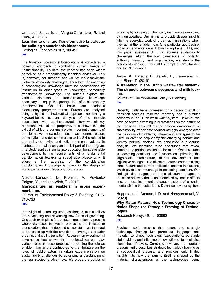Urmetzer, S., Lask, J., Vargas-Carpintero, R. and Pyka, A. (2020)

### Learning to change: Transformative knowledge for building a sustainable bioeconomy.

Ecological Economics 167, 106435 link

The transition towards a bioeconomy is considered a powerful approach to combating current trends of unsustainability. To date, the concept has been widely perceived as a predominantly technical endeavor. This is, however, not sufficient and will not really tackle the global sustainability challenges. Therefore, the imparting of technological knowledge must be accompanied by instruction in other types of knowledge, particularly transformative knowledge. The authors explore the various elements of transformative knowledge necessary to equip the protagonists of a bioeconomy transformation. On this basis, four academic bioeconomy programs across Europe are analyzed using a hybrid methodological approach, combining a keyword-based content analysis of the module descriptions with semi-structured interviews of key representatives of the programs. It is shown that the syllabi of all four programs include important elements of transformative knowledge, such as communication, participation, and decision-making skills. Skills related to the ability to revise and reflect personal values, in contrast, are mainly only an implicit part of the program. The study applies insights into education for sustainable development to the requirements of a fundamental transformation towards a sustainable bioeconomy. It offers a first appraisal of the consideration transformative knowledge is given in the design of European academic bioeconomy curricula.

Mukhtar-Landgren, D., Kronsell, A., Voytenko Palgan, Y., and von Wirth, T. (2019)

### Municipalities as enablers in urban experimentation.

Journal of Environmental Policy & Planning, 21, 6, 718-733

link

In the light of increasing urban challenges, municipalities are developing and advancing new forms of governing. One such example is 'urban experimentation', a process where city-based innovation processes are initiated to test solutions that – if deemed successful – are intended to be scaled up with the ambition to leverage a broader urban sustainability transition. Research on experimental governance has shown that municipalities can play various roles in these processes, including the role as enabler. The article contributes to the literature on the roles of public actors in urban experimentation on sustainability challenges by advancing understanding of the less studied 'enabler' role. We probe the politics of enabling by focusing on the policy instruments employed by municipalities. Our aim is to provide deeper insights into the everyday work of urban administrations when they act in the 'enabler' role. One particular approach of urban experimentation is Urban Living Labs (ULL), and this paper analyses ULL that address sustainability challenges. Along the four dimensions of nodality, authority, treasury, and organisation, we identify the politics of enabling in four ULL examples from Sweden and the Netherlands.

Ampe, K., Paredis, E., Asveld, L., Osseweijer, P. and Block, T. (2019)

A transition in the Dutch wastewater system? The struggle between discourses and with lockins.

Journal of Environmental Policy & Planning link

Recently, calls have increased for a paradigm shift or transition towards resource recovery and a circular economy in the Dutch wastewater system. However, we have observed diverging interpretations on the nature of the transition. This reflects the political environment of sustainability transitions: political struggle emerges over the definition of problems, futures and strategies to be used. In order to help clarify the emerging debate and identify political choices, we conducted a discourse analysis. We identified three discourses that reveal some of the political choices to be made. One discourse is becoming dominant and focusses on optimising the large-scale infrastructure, market development and legislative changes. The discourse draws on the existing infrastructure and current political-economic institutions, which gives it an advantage in becoming dominant. Our findings also suggest that this discourse shapes a transition pathway that is characterised by lock-in effects and, at most, incremental changes instead of a fundamental shift in the established Dutch wastewater system.

Hoppmann J., Anadon, L.D. and Narayanamurti, V. (2020)

Why Matter Matters: How Technology Characteristics Shape the Strategic Framing of Technologies.

Research Policy, 49, 1, 103882 link

Previous work stresses that actors use strategic technology framing—i.e. purposeful language and rhetoric—to shape technology expectations, persuade stakeholders, and influence the evolution of technologies along their life-cycle. Currently, however, the literature predominantly describes strategic technology framing as a sociopolitical process, and provides only limited insights into how the framing itself is shaped by the material characteristics of the technologies being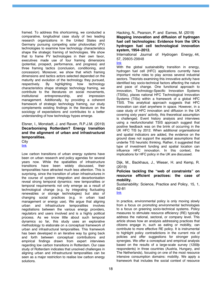framed. To address this shortcoming, we conducted a comparative, longitudinal case study of two leading research organizations in the United States and Germany pursuing competing solar photovoltaic (PV) technologies to examine how technology characteristics shape the strategic framing of technologies. We show that to frame PV technologies in their own favor, executives made use of four framing dimensions (potential, prospect, performance, and progress) and three framing tactics (conclusion, conditioning, and concession). Moreover, we show that which framing dimensions and tactics actors selected depended on the maturity and evolution of the technology they pursued, respectively. By highlighting how technology characteristics shape strategic technology framing, we contribute to the literatures on social movements, institutional entrepreneurship, and impression management. Additionally, by providing a coherent framework of strategic technology framing, our study complements existing findings in the literature on the sociology of expectations and contributes to a better understanding of how technology hypes emerge.

### Elsner, I., Monstadt, J. and Raven, R.P.J.M. (2019) Decarbonising Rotterdam? Energy transition and the alignment of urban and infrastructural temporalities.

**City** link

Low carbon transitions of urban energy systems have been on urban research and policy agendas for several years now. While the spatialities of infrastructure transitions have been widely discussed, their temporalities have attracted much less attention. This is surprising, since the transition of urban infrastructures in the course of system integration and decarbonisation reveal strong temporal dynamics: new temporalities or temporal requirements not only emerge as a result of technological change (e.g. by integrating fluctuating renewables or storage technologies) but also of changing social practices (e.g. in urban load management or energy use). We argue that aligning urban and infrastructure temporalities involves negotiations between the various energy providers, regulators and users involved and is a highly political process. As we know little about such temporal dynamics so far, this study uses an explorative methodology to elaborate on a conceptual framework of urban and infrastructural temporalities. This framework has been developed in an iterative way by going back and forth between conceptual contributions and empirical findings drawn from expert interviews regarding low carbon transitions in Rotterdam. Our case study of Rotterdam indicates that unsolved challenges in aligning urban and infrastructural temporalities can be seen as a major restriction to realise low carbon energy solutions.

Hacking, N., Pearson, P. and Eames, M. (2019) Mapping innovation and diffusion of hydrogen

fuel cell technologies: Evidence from the UK's hydrogen fuel cell technological innovation system, 1954–2012.

International Journal of Hydrogen Energy*,* 44, 57, 29805-29848

link

With the global sustainability transition in energy, hydrogen fuel cell (HFC) applications currently have important niche roles to play across several industrial sectors. Theorists examining this innovative activity have identified key socio-technical factors affecting the nature and pace of change. One functional approach to innovation, Technology-Specific Innovation Systems (TSISs), places national HFC Technological Innovation Systems (TISs) within a framework of a global HFC TSIS. This analytical approach suggests that HFC innovation can start anywhere in space. However, in a case study of HFC innovation and diffusion in the UK covering sixty years' activity, this theoretical assumption is challenged. Event history analysis and interviews using a neofunctionalist TSIS approach suggest that positive feedback was on the brink of occurring in the UK HFC TIS by 2012. When additional organisational and spatial indicators are added, the evidence on the ground does not support the aspatial assumptions that underlie TIS heuristic thinking. Rather, it suggested that type of investment funding and spatial location can influence HFC innovation. In this context, the implications for HFC policy in the UK are discussed.

Dijk, M., Backhaus, J., Wieser, H. and Kemp, R. (2019)

### Policies tackling the "web of constraints" on resource efficient practices: the case of mobility.

Sustainability: Science, Practice and Policy, 15, 1, 62-81

### link

In practice, environmental policy is only moving slowly from a focus on promoting environmental technologies to a focus on greening socio-technical systems. Policy measures to stimulate resource efficiency (RE) typically address the national, sectoral, or company level. This article shows how an analysis addressing practices that citizens engage in, such as eating or mobility, can contribute to more effective RE policy. It is instrumental to highlight policy contradictions in the current mix of policies and offer suggestions for stronger policy synergies. We offer a conceptual and empirical analysis based on the results of a large-scale survey (1200þ respondents) in three countries (Austria, Hungary, and The Netherlands), focusing on one of the most resource intensive consumption domains: mobility. We apply a framework that includes the social context of resource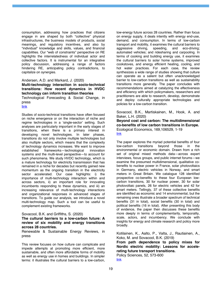consumption, addressing how practices that citizens engage in are shaped by both "collective" physical infrastructures, the business models of products, social meanings, and regulatory incentives, and also by "individual" knowledge and skills, values, and financial capabilities. Our "web of constraints" perspective on RE highlights the interrelatedness of individual actor and collective factors. It is instrumental for an integrative policy discussion, addressing a range of factors hindering RE, anticipating policy contradictions, to capitalize on synergies.

#### Andersen, A.D. and Markard, J. (2020)

Multi-technology interaction in socio-technical transitions: How recent dynamics in HVDC technology can inform transition theories Technological Forecasting & Social Change, in press

link

Studies of socio-technical transitions have often focused on niche emergence or on the interaction of niche and regime technologies in a 'single-sector' setting. Such analyses are particularly important in the early stages of transitions, when there is a primary interest in developing novel technologies. In later phases, transitions do not only involve multiple technologies but also multiple sectors, which means that the complexity of technology dynamics increases. We want to improve established frameworks—technological innovation systems and the multi-level perspective—to account for such phenomena. We study HVDC technology, which is a mature technology for electricity transmission that has remained in a niche for decades but recently gained new momentum as the ongoing transition in the electricity sector accelerated. Our case highlights: i) the importance of multi-technology interaction within and across sectors, ii) an important role for innovating incumbents responding to these dynamics, and iii) an increasing relevance of multi-technology interactions and organizational responses in advanced stages of transitions. To guide our analysis, we introduce a novel multi-technology map. Such a tool can be useful to complement existing frameworks.

### Sovacool, B.K. and Griffiths, S. (2020)

### The cultural barriers to a low-carbon future: A review of six mobility and energy transitions across 28 countries.

Renewable & Sustainable Energy Reviews, in press

This review focuses on how culture can complicate and impede attempts at promoting more efficient, more sustainable, and often more affordable forms of mobility as well as energy use in homes and buildings. In simpler terms: it illustrates the cultural barriers to a low-carbon, low-energy future across 28 countries. Rather than focus on energy supply, it deals intently with energy end-use, demand, and consumption. In terms of low-carbon transport and mobility, it examines the cultural barriers to aggressive driving, speeding, and eco-driving; automated vehicles; and ridesharing and carpooling. In terms of cooking and building energy use, it examines the cultural barriers to solar home systems, improved cookstoves, and energy efficient heating, cooling, and hot water practices. For each case, the review synthesizes a wide range of studies showing that culture can operate as a salient but often unacknowledged barrier to low-carbon transitions as well as sustainability transitions more generally. The paper concludes with recommendations aimed at catalyzing the effectiveness and efficiency with which policymakers, researchers and practitioners are able to research, develop, demonstrate and deploy culturally appropriate technologies and policies for a low-carbon transition.

Sovacool, B.K., Martiskainen, M., Hook, A. and Baker, L.H. (2020)

Beyond cost and carbon: The multidimensional co-benefits of low carbon transitions in Europe. Ecological Economics*,* 169,106529, 1-19 link

The paper explores the myriad potential benefits of four low-carbon transitions beyond those in the environmental or economic domain. Drawn from a rich set of original mixed methods data—across expert interviews, focus groups, and public internet forums—we examine the presumed multidimensional, qualitative cobenefits to nuclear power in France, solar photovoltaics in Germany, electric vehicles in Norway, and smart meters in Great Britain. We catalogue 128 identified prospective co-benefits to these four European lowcarbon transitions, 30 for nuclear power, 30 for solar photovoltaic panels, 26 for electric vehicles and 42 for smart meters. Tellingly, 37 of these collective benefits are identified as economic and 14 environmental, but the remaining ones illustrate a broader spectrum of technical benefits (31 in total), social benefits (30 in total) and political benefits (16 in total). After presenting this body of evidence, the paper then discusses these benefits more deeply in terms of complementarity, temporality, scale, actors, and incumbency. We conclude with insights for energy and climate research and policy more broadly.

Kotilainen, K., Aalto, P., Valta, J., Rautiainen, A., Koko, M. and Sovacool, B.K. (2019)

From path dependence to policy mixes for Nordic electric mobility: Lessons for accelerating future transport transitions. Policy Sciences, 52, 573-600

link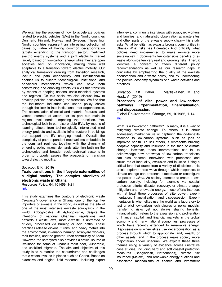We examine the problem of how to accelerate policies related to electric vehicles (EVs) in the Nordic countries Denmark, Finland, Norway and Sweden. These four Nordic countries represent an interesting collection of cases by virtue of having common decarbonization targets extending to the transport sector, interlinked electric energy systems and a joint electricity market largely based on low-carbon energy while they are open societies bent on innovation, making them well adaptable to a transition toward electric mobility. Our analytical framework drawing from transition research, lock-in and path dependency and institutionalism enables us to discern technological, institutional and behavioral mechanisms which can have both constraining and enabling effects vis-à-vis this transition by means of shaping national socio-technical systems and regimes. On this basis, we also discuss how to develop policies accelerating the transition. We find that the incumbent industries can shape policy choice through the lock-in into institutional inter-dependencies. The accumulation of social and material features, and vested interests of actors, for its part can maintain regime level inertia, impeding the transition. Yet, technological lock-in can also enable EVs, by means of learning effects from technologically interrelated wind energy projects and available infrastructure in buildings that support the EV charging needs. Overall, the complexity of path-dependent mechanisms embedded in the dominant regimes, together with the diversity of emerging policy mixes, demands attention both on the technologies and broader socio-technical systems in order to properly assess the prospects of transition toward electric mobility.

### Sovacool, B.K. (2019)

### Toxic transitions in the lifecycle externalities of a digital society: The complex afterlives of electronic waste in Ghana.

Resources Policy, 64, 101459, 1-21 link

This study examines the contours of electronic waste ("e-waste") governance in Ghana, one of the top five importers of e-waste in the world, as well as the site of one of the most intensive e-waste scrapyards in the world, Agbogbloshie. At Agbogbloshie, despite the intentions of national Ghanaian regulations and hazardous waste laws, most e-waste is untreated or crudely processed via burning or acid baths. These practices release dioxins, furans, and heavy metals into the environment, invariably harming scrapyard workers, their families, and the greater urban community of Accra. However, the scrapyard also provides a critical source of livelihood for some of Ghana's most poor, vulnerable, and unskilled migrants. The aim and objective of this study is to humanize the conundrums and challenges that e-waste invokes in places such as Ghana. Based on extensive and original field research—including expert interviews, community interviews with scrapyard workers and families, and naturalistic observation at waste sites and other parts of the e-waste supply chain—this study asks: What benefits has e-waste brought communities in Ghana? What risks has it created? And, critically, what policies need implemented to make e-waste more sustainable? It documents ten ostensible benefits of ewaste alongside ten very real and growing risks. Then, it identifies a concert of fifteen different policy recommendations as well as four research gaps. It concludes by emphasizing the duality of the e-waste phenomenon and e-waste policy, and by underscoring the political economy dynamics of e-waste activities and practices.

Sovacool, B.K., Baker, L., Martiskainen, M. and Hook, A. (2019)

### Processes of elite power and low-carbon pathways: Experimentation, financialisation, and dispossession.

Global Environmental Change, 59, 101985, 1-14 link

What is a low-carbon pathway? To many, it is a way of mitigating climate change. To others, it is about addressing market failure or capturing the co-benefits attached to low-carbon systems, such as jobs or improved health. To still others, it represents building adaptive capacity and resilience in the face of climate change. However, these interpretations can fail to acknowledge how pathways of low-carbon transitions can also become intertwined with processes and structures of inequality, exclusion and injustice. Using a critical lens that draws from a variety of disciplines, this article explores three ways through which responses to climate change can entrench, exacerbate or reconfigure the power of *elites*. As society attempts to create a lowcarbon society, including for example via coastal protection efforts, disaster recovery, or climate change mitigation and renewable energy, these efforts intersect with at least three processes of elite power: experimentation, financialisation, and dispossession. Experimentation is when elites use the world as a laboratory to test or pilot low-carbon technologies or policy models, transferring risks yet not always sharing benefits. Financialisation refers to the expansion and proliferation of finance, capital, and financial markets in the global economy and many national economies, processes of which have recently extended to renewable energy. Dispossession is when elites use decarbonisation as a process through which to appropriate land, wealth, or other assets (and in the process make society more majoritarian and/or unequal). We explore these three themes using a variety of evidence across illustrative case studies, including hard and soft coastal protection measures (Bangladesh, Netherlands), climate risk insurance (Malawi), and renewable energy auctions and associated mechanisms of finance and investment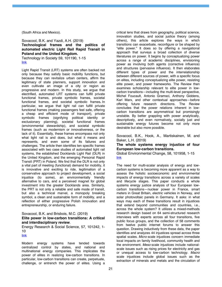(South Africa and Mexico).

Sovacool, B.K. and Yazdi, A.H. (2019) Technological frames and the politics of automated electric Light Rail Rapid Transit in Poland and the United Kingdom. Technology in Society 59, 101190, 1-15

link

Light Rapid Transit (LRT) systems are often backed not only because they satisfy basic mobility functions, but because they can revitalize urban centers, affirm the legitimacy of state planners, support innovation and even cultivate an image of a city or region as progressive and modern. In this study, we argue that electrified, automated LRT systems can fulfill private functional frames, private symbolic frames, societal functional frames, and societal symbolic frames. In particular, we argue that light rail can fulfill private functional frames (making passengers feel safe, offering a cheap and efficient mode of transport), private symbolic frames (signifying political identity or exclusionary planning), societal functional frames (environmental stewardship), and societal symbolic frames (such as modernism or innovativeness, or the lack of it). Essentially, these frames encompass not only what light rail is and does, but what it means and represents, and even some of its failures and challenges. The article then identifies ten specific frames associated with two case studies of automated light rail systems, the established Docklands Light Rail (DLR) in the United Kingdom, and the emerging Personal Rapid Transit (PRT) in Poland. We find that the DLR is not only a vital part of meeting (functional) demand for mobility, it is innovative and exciting to ride, legitimation of a conservative approach to project development, a social injustice (to some), an environmentally friendly alternative to cars, and a perceived magnet for global investment into the greater Docklands area. Similarly, the PRT is not only a reliable and safe mode of transit, but also a technical marvel, a monopoly breaking symbol, a clean and sustainable form of mobility, and a reflection of either progressive Polish innovation and entrepreneurship, or enduring failure.

Sovacool, B.K. and Brisbois, M.C. (2019)

### Elite power in low-carbon transitions: A critical and interdisciplinary review.

Energy Research & Social Science, 57, 101242, 1- 10

link

Modern energy systems have tended towards centralized control by states, and national and multinational energy companies. This implicates the power of elites in realizing low-carbon transitions. In particular, low-carbon transitions can create, perpetuate, challenge, or entrench the power of elites. Using a critical lens that draws from geography, political science, innovation studies, and social justice theory (among others), this article explores the ways in which transitions can exacerbate, reconfigure or be shaped by "elite power." It does so by offering a navigational approach that surveys a broad collection of diverse literatures on power. It begins by conceptualizing power across a range of academic disciplines, envisioning power as involving both agents (corrective influence) and structures (pervasive influence). It then elaborates different types of power and the interrelationship between different sources of power, with a specific focus on elites, including conceptualizing elite power, resisting elite power, and power frameworks. The Review then examines scholarship relevant to elite power in lowcarbon transitions—including the multi-level perspective, Michel Foucault, Antonio Gramsci, Anthony Giddens, Karl Marx, and other contextual approaches—before offering future research directions. The Review concludes that the power relations inherent in lowcarbon transitions are asymmetrical but promisingly unstable. By better grappling with power analytically, descriptively, and even normatively, socially just and sustainable energy futures become not only more desirable but also more possible.

Sovacool, B.K., Hook, A., Martiskainen, M. and Baker, L.H. (2019)

The whole systems energy injustice of four European low-carbon transitions.

Global Environmental Change, 58, 101958, 1-15 link

The need for multi-scalar analysis of energy and lowcarbon systems is becoming more apparent as a way to assess the holistic socioeconomic and environmental impacts of energy transitions across a variety of scales and lifecycle stages. This paper conducts a whole systems energy justice analysis of four European lowcarbon transitions—nuclear power in France, smart meters in Great Britain, electric vehicles in Norway, and solar photovoltaic panels in Germany. It asks: in what ways may each of these transitions result in injustices that extend beyond communities and countries, i.e., across the whole system? It utilizes a mixed-methods research design based on 64 semi-structured research interviews with experts across all four transitions, five public focus groups, and the collection of 58 comments from twelve public internet forums to answer this question. Drawing inductively from these data, the paper identifies and analyzes 44 injustices spread across three spatial scales. *Micro* scale injustices concern immediate local impacts on family livelihood, community health and the environment. *Meso* scale injustices include nationalscale issues such as rising prices for electricity and gas or unequal access to low-carbon technology. *Macro* scale injustices include global issues such as the extraction of minerals and metals and the circulation of